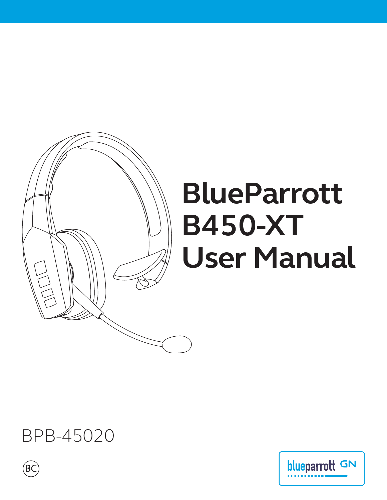

# **BlueParrott B450-XT User Manual**

# BPB-45020



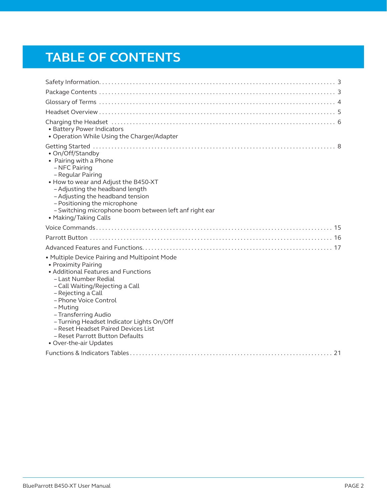# **TABLE OF CONTENTS**

| • Battery Power Indicators<br>• Operation While Using the Charger/Adapter                                                                                                                                                                                                                                                                                                                                  |
|------------------------------------------------------------------------------------------------------------------------------------------------------------------------------------------------------------------------------------------------------------------------------------------------------------------------------------------------------------------------------------------------------------|
| • On/Off/Standby<br>• Pairing with a Phone<br>- NFC Pairing<br>- Regular Pairing<br>. How to wear and Adjust the B450-XT<br>- Adjusting the headband length<br>- Adjusting the headband tension<br>- Positioning the microphone<br>- Switching microphone boom between left anf right ear<br>• Making/Taking Calls                                                                                         |
|                                                                                                                                                                                                                                                                                                                                                                                                            |
|                                                                                                                                                                                                                                                                                                                                                                                                            |
|                                                                                                                                                                                                                                                                                                                                                                                                            |
| • Multiple Device Pairing and Multipoint Mode<br>• Proximity Pairing<br>• Additional Features and Functions<br>- Last Number Redial<br>- Call Waiting/Rejecting a Call<br>- Rejecting a Call<br>- Phone Voice Control<br>- Muting<br>- Transferring Audio<br>- Turning Headset Indicator Lights On/Off<br>- Reset Headset Paired Devices List<br>- Reset Parrott Button Defaults<br>• Over-the-air Updates |
|                                                                                                                                                                                                                                                                                                                                                                                                            |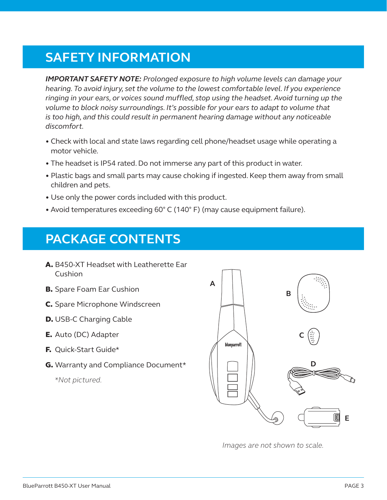# **SAFETY INFORMATION**

*IMPORTANT SAFETY NOTE: Prolonged exposure to high volume levels can damage your hearing. To avoid injury, set the volume to the lowest comfortable level. If you experience ringing in your ears, or voices sound muffled, stop using the headset. Avoid turning up the volume to block noisy surroundings. It's possible for your ears to adapt to volume that is too high, and this could result in permanent hearing damage without any noticeable discomfort.*

- Check with local and state laws regarding cell phone/headset usage while operating a motor vehicle.
- The headset is IP54 rated. Do not immerse any part of this product in water.
- Plastic bags and small parts may cause choking if ingested. Keep them away from small children and pets.
- Use only the power cords included with this product.
- Avoid temperatures exceeding 60° C (140° F) (may cause equipment failure).

# **PACKAGE CONTENTS**

- A. B450-XT Headset with Leatherette Ear Cushion
- **B.** Spare Foam Ear Cushion
- C. Spare Microphone Windscreen
- D. USB-C Charging Cable
- E. Auto (DC) Adapter
- F. Quick-Start Guide\*
- G. Warranty and Compliance Document\*

 *\*Not pictured.*



*Images are not shown to scale.*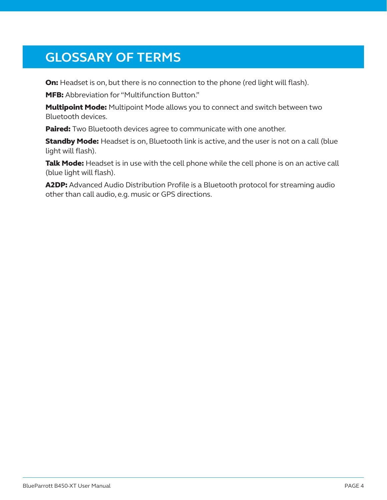# **GLOSSARY OF TERMS**

On: Headset is on, but there is no connection to the phone (red light will flash).

MFB: Abbreviation for "Multifunction Button."

**Multipoint Mode:** Multipoint Mode allows you to connect and switch between two Bluetooth devices.

Paired: Two Bluetooth devices agree to communicate with one another.

**Standby Mode:** Headset is on, Bluetooth link is active, and the user is not on a call (blue light will flash).

Talk Mode: Headset is in use with the cell phone while the cell phone is on an active call (blue light will flash).

A2DP: Advanced Audio Distribution Profile is a Bluetooth protocol for streaming audio other than call audio, e.g. music or GPS directions.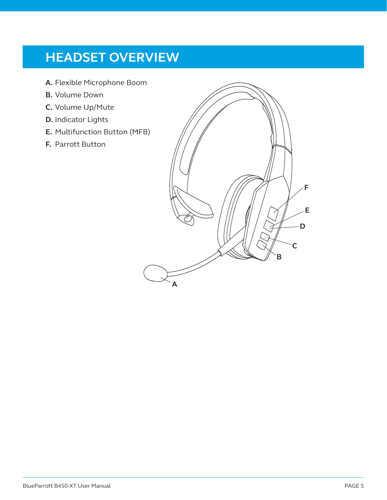# **HEADSET OVERVIEW**

- **A.** Flexible Microphone Boom
- **B.** Volume Down
- **C.** Volume Up/Mute
- **D.** Indicator Lights
- **E.** Multifunction Button (MFB)
- **F.** Parrott Button

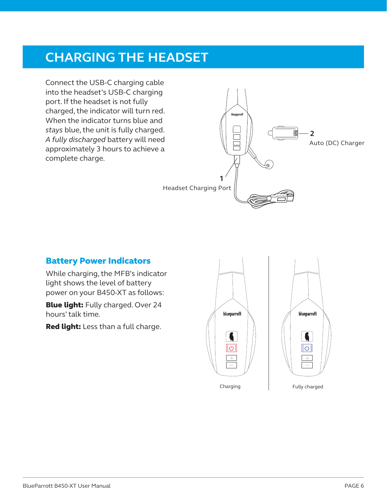## **CHARGING THE HEADSET**

Connect the USB-C charging cable into the headset's USB-C charging port. If the headset is not fully charged, the indicator will turn red. When the indicator turns blue and *stays* blue, the unit is fully charged. *A fully discharged* battery will need approximately 3 hours to achieve a complete charge.



### Battery Power Indicators

While charging, the MFB's indicator light shows the level of battery power on your B450-XT as follows:

**Blue light:** Fully charged. Over 24 hours' talk time.

Red light: Less than a full charge.

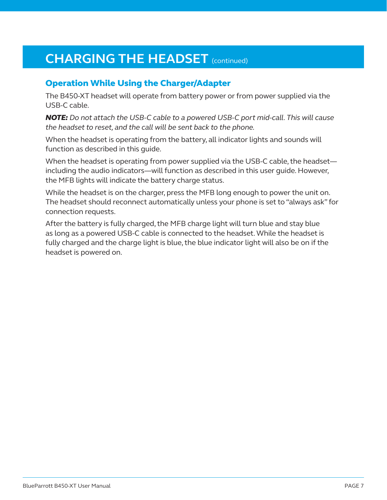# **CHARGING THE HEADSET** (continued)

### Operation While Using the Charger/Adapter

The B450-XT headset will operate from battery power or from power supplied via the USB-C cable.

*NOTE: Do not attach the USB-C cable to a powered USB-C port mid-call. This will cause the headset to reset, and the call will be sent back to the phone.*

When the headset is operating from the battery, all indicator lights and sounds will function as described in this guide.

When the headset is operating from power supplied via the USB-C cable, the headset including the audio indicators—will function as described in this user guide. However, the MFB lights will indicate the battery charge status.

While the headset is on the charger, press the MFB long enough to power the unit on. The headset should reconnect automatically unless your phone is set to "always ask" for connection requests.

After the battery is fully charged, the MFB charge light will turn blue and stay blue as long as a powered USB-C cable is connected to the headset. While the headset is fully charged and the charge light is blue, the blue indicator light will also be on if the headset is powered on.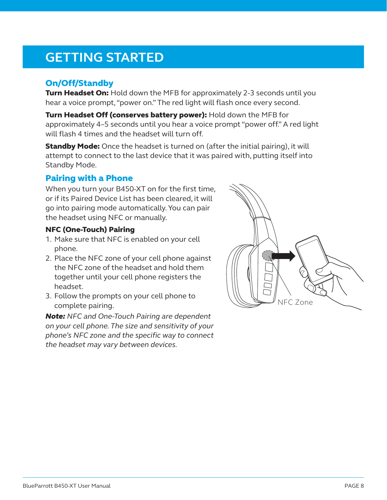# **GETTING STARTED**

### On/Off/Standby

Turn Headset On: Hold down the MFB for approximately 2-3 seconds until you hear a voice prompt, "power on." The red light will flash once every second.

Turn Headset Off (conserves battery power): Hold down the MFB for approximately 4–5 seconds until you hear a voice prompt "power off." A red light will flash 4 times and the headset will turn off.

**Standby Mode:** Once the headset is turned on (after the initial pairing), it will attempt to connect to the last device that it was paired with, putting itself into Standby Mode.

### Pairing with a Phone

When you turn your B450-XT on for the first time, or if its Paired Device List has been cleared, it will go into pairing mode automatically. You can pair the headset using NFC or manually.

#### NFC (One-Touch) Pairing

- 1. Make sure that NFC is enabled on your cell phone.
- 2. Place the NFC zone of your cell phone against the NFC zone of the headset and hold them together until your cell phone registers the headset.
- 3. Follow the prompts on your cell phone to complete pairing.

*Note: NFC and One-Touch Pairing are dependent on your cell phone. The size and sensitivity of your phone's NFC zone and the specific way to connect the headset may vary between devices.*

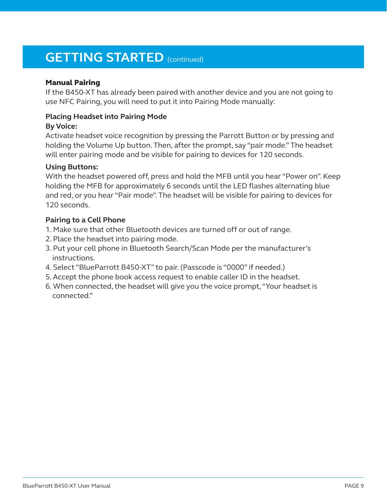### **GETTING STARTED** (continued)

#### Manual Pairing

If the B450-XT has already been paired with another device and you are not going to use NFC Pairing, you will need to put it into Pairing Mode manually:

#### **Placing Headset into Pairing Mode**

#### **By Voice:**

Activate headset voice recognition by pressing the Parrott Button or by pressing and holding the Volume Up button. Then, after the prompt, say "pair mode." The headset will enter pairing mode and be visible for pairing to devices for 120 seconds.

#### **Using Buttons:**

With the headset powered off, press and hold the MFB until you hear "Power on". Keep holding the MFB for approximately 6 seconds until the LED flashes alternating blue and red, or you hear "Pair mode". The headset will be visible for pairing to devices for 120 seconds.

#### **Pairing to a Cell Phone**

- 1. Make sure that other Bluetooth devices are turned off or out of range.
- 2. Place the headset into pairing mode.
- 3. Put your cell phone in Bluetooth Search/Scan Mode per the manufacturer's instructions.
- 4. Select "BlueParrott B450-XT" to pair. (Passcode is "0000" if needed.)
- 5. Accept the phone book access request to enable caller ID in the headset.
- 6. When connected, the headset will give you the voice prompt, "Your headset is connected."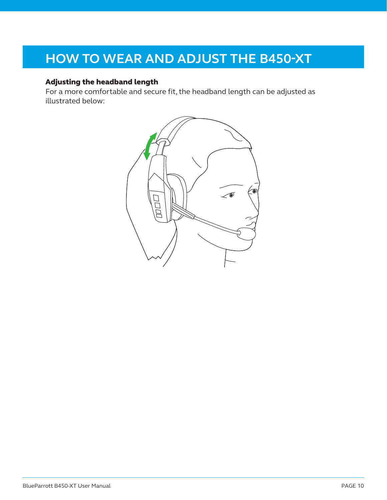# **HOW TO WEAR AND ADJUST THE B450-XT**

### Adjusting the headband length

For a more comfortable and secure fit, the headband length can be adjusted as illustrated below:

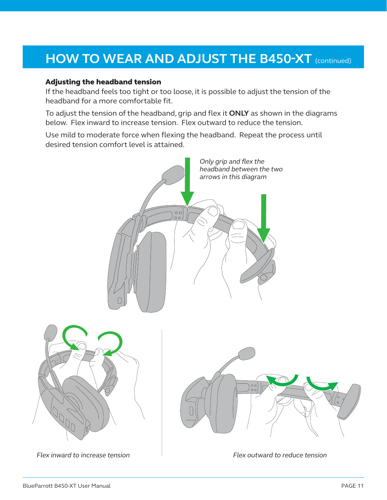# **HOW TO WEAR AND ADJUST THE B450-XT** (continued)

#### Adjusting the headband tension

If the headband feels too tight or too loose, it is possible to adjust the tension of the headband for a more comfortable fit.

To adjust the tension of the headband, grip and flex it **ONLY** as shown in the diagrams below. Flex inward to increase tension. Flex outward to reduce the tension.

Use mild to moderate force when flexing the headband. Repeat the process until desired tension comfort level is attained.

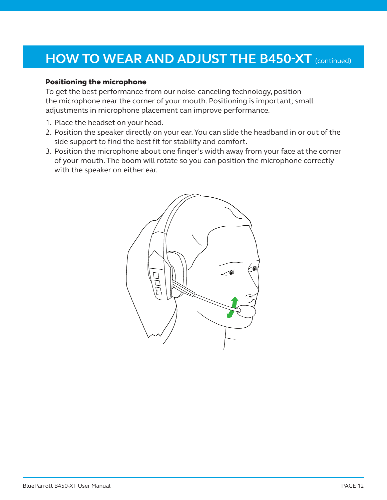# **HOW TO WEAR AND ADJUST THE B450-XT** (continued)

#### Positioning the microphone

To get the best performance from our noise-canceling technology, position the microphone near the corner of your mouth. Positioning is important; small adjustments in microphone placement can improve performance.

- 1. Place the headset on your head.
- 2. Position the speaker directly on your ear. You can slide the headband in or out of the side support to find the best fit for stability and comfort.
- 3. Position the microphone about one finger's width away from your face at the corner of your mouth. The boom will rotate so you can position the microphone correctly with the speaker on either ear.

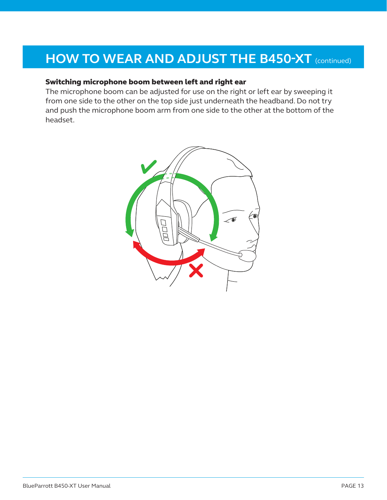### **HOW TO WEAR AND ADJUST THE B450-XT** (continued)

#### Switching microphone boom between left and right ear

The microphone boom can be adjusted for use on the right or left ear by sweeping it from one side to the other on the top side just underneath the headband. Do not try and push the microphone boom arm from one side to the other at the bottom of the headset.

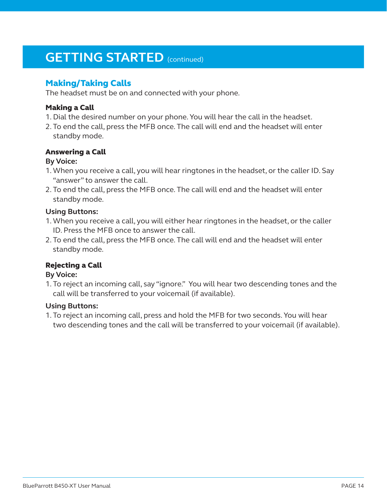### **GETTING STARTED** (continued)

### Making/Taking Calls

The headset must be on and connected with your phone.

#### Making a Call

- 1. Dial the desired number on your phone. You will hear the call in the headset.
- 2. To end the call, press the MFB once. The call will end and the headset will enter standby mode.

#### Answering a Call

#### **By Voice:**

- 1.When you receive a call, you will hear ringtones in the headset, or the caller ID. Say "answer" to answer the call.
- 2. To end the call, press the MFB once. The call will end and the headset will enter standby mode.

#### **Using Buttons:**

- 1.When you receive a call, you will either hear ringtones in the headset, or the caller ID. Press the MFB once to answer the call.
- 2. To end the call, press the MFB once. The call will end and the headset will enter standby mode.

### Rejecting a Call

#### **By Voice:**

1. To reject an incoming call, say "ignore." You will hear two descending tones and the call will be transferred to your voicemail (if available).

#### **Using Buttons:**

1. To reject an incoming call, press and hold the MFB for two seconds. You will hear two descending tones and the call will be transferred to your voicemail (if available).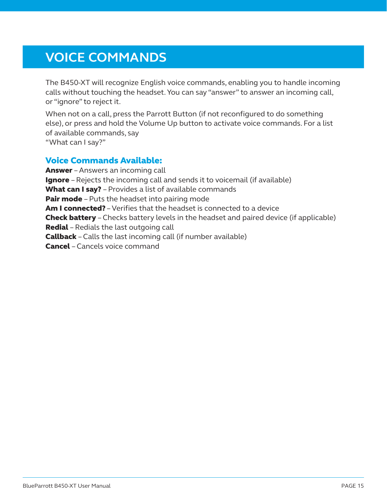# **VOICE COMMANDS**

The B450-XT will recognize English voice commands, enabling you to handle incoming calls without touching the headset. You can say "answer" to answer an incoming call, or "ignore" to reject it.

When not on a call, press the Parrott Button (if not reconfigured to do something else), or press and hold the Volume Up button to activate voice commands. For a list of available commands, say "What can I say?"

### Voice Commands Available:

Answer – Answers an incoming call **Ignore** – Rejects the incoming call and sends it to voicemail (if available) What can I say? - Provides a list of available commands **Pair mode** – Puts the headset into pairing mode Am I connected? - Verifies that the headset is connected to a device **Check battery** – Checks battery levels in the headset and paired device (if applicable) Redial – Redials the last outgoing call **Callback** – Calls the last incoming call (if number available) Cancel – Cancels voice command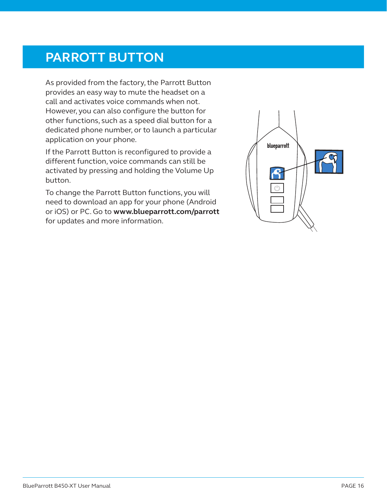### **PARROTT BUTTON**

As provided from the factory, the Parrott Button provides an easy way to mute the headset on a call and activates voice commands when not. However, you can also configure the button for other functions, such as a speed dial button for a dedicated phone number, or to launch a particular application on your phone.

If the Parrott Button is reconfigured to provide a different function, voice commands can still be activated by pressing and holding the Volume Up button.

To change the Parrott Button functions, you will need to download an app for your phone (Android or iOS) or PC. Go to **www.blueparrott.com/parrott** for updates and more information.

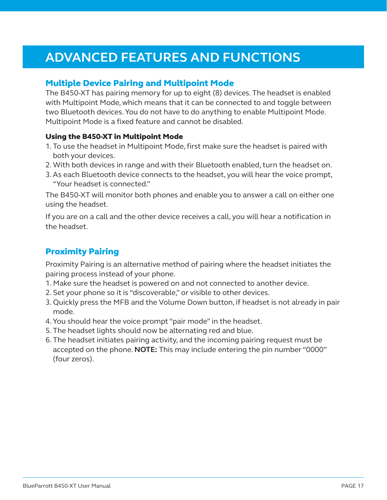## **ADVANCED FEATURES AND FUNCTIONS**

### Multiple Device Pairing and Multipoint Mode

The B450-XT has pairing memory for up to eight (8) devices. The headset is enabled with Multipoint Mode, which means that it can be connected to and toggle between two Bluetooth devices. You do not have to do anything to enable Multipoint Mode. Multipoint Mode is a fixed feature and cannot be disabled.

#### Using the B450-XT in Multipoint Mode

- 1. To use the headset in Multipoint Mode, first make sure the headset is paired with both your devices.
- 2. With both devices in range and with their Bluetooth enabled, turn the headset on.
- 3.As each Bluetooth device connects to the headset, you will hear the voice prompt, "Your headset is connected."

The B450-XT will monitor both phones and enable you to answer a call on either one using the headset.

If you are on a call and the other device receives a call, you will hear a notification in the headset.

### Proximity Pairing

Proximity Pairing is an alternative method of pairing where the headset initiates the pairing process instead of your phone.

- 1. Make sure the headset is powered on and not connected to another device.
- 2. Set your phone so it is "discoverable," or visible to other devices.
- 3. Quickly press the MFB and the Volume Down button, if headset is not already in pair mode.
- 4. You should hear the voice prompt "pair mode" in the headset.
- 5. The headset lights should now be alternating red and blue.
- 6. The headset initiates pairing activity, and the incoming pairing request must be accepted on the phone. **NOTE:** This may include entering the pin number "0000" (four zeros).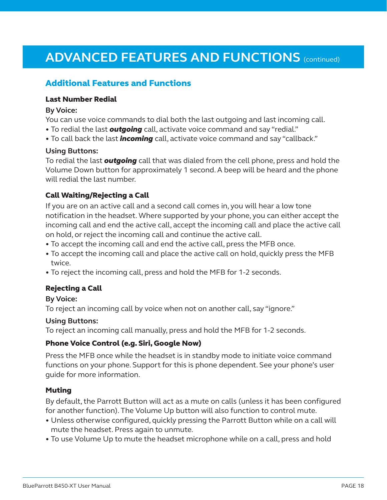# **ADVANCED FEATURES AND FUNCTIONS** (continued)

### Additional Features and Functions

#### Last Number Redial

#### **By Voice:**

You can use voice commands to dial both the last outgoing and last incoming call.

- To redial the last *outgoing* call, activate voice command and say "redial."
- To call back the last *incoming* call, activate voice command and say "callback."

#### **Using Buttons:**

To redial the last *outgoing* call that was dialed from the cell phone, press and hold the Volume Down button for approximately 1 second. A beep will be heard and the phone will redial the last number.

#### Call Waiting/Rejecting a Call

If you are on an active call and a second call comes in, you will hear a low tone notification in the headset. Where supported by your phone, you can either accept the incoming call and end the active call, accept the incoming call and place the active call on hold, or reject the incoming call and continue the active call.

- To accept the incoming call and end the active call, press the MFB once.
- To accept the incoming call and place the active call on hold, quickly press the MFB twice.
- To reject the incoming call, press and hold the MFB for 1-2 seconds.

#### Rejecting a Call

#### **By Voice:**

To reject an incoming call by voice when not on another call, say "ignore."

#### **Using Buttons:**

To reject an incoming call manually, press and hold the MFB for 1-2 seconds.

#### Phone Voice Control (e.g. Siri, Google Now)

Press the MFB once while the headset is in standby mode to initiate voice command functions on your phone. Support for this is phone dependent. See your phone's user guide for more information.

#### **Muting**

By default, the Parrott Button will act as a mute on calls (unless it has been configured for another function). The Volume Up button will also function to control mute.

- Unless otherwise configured, quickly pressing the Parrott Button while on a call will mute the headset. Press again to unmute.
- To use Volume Up to mute the headset microphone while on a call, press and hold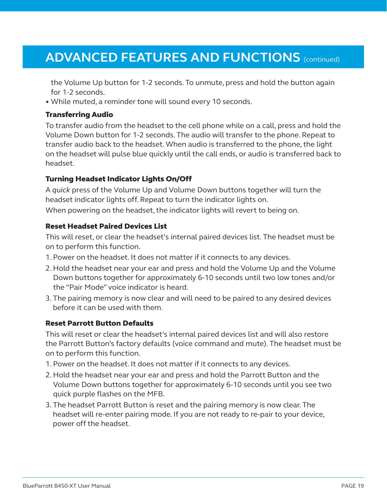### **ADVANCED FEATURES AND FUNCTIONS (continued)**

the Volume Up button for 1-2 seconds. To unmute, press and hold the button again for 1-2 seconds.

• While muted, a reminder tone will sound every 10 seconds.

#### Transferring Audio

To transfer audio from the headset to the cell phone while on a call, press and hold the Volume Down button for 1-2 seconds. The audio will transfer to the phone. Repeat to transfer audio back to the headset. When audio is transferred to the phone, the light on the headset will pulse blue quickly until the call ends, or audio is transferred back to headset.

#### Turning Headset Indicator Lights On/Off

A *quick* press of the Volume Up and Volume Down buttons together will turn the headset indicator lights off. Repeat to turn the indicator lights on. When powering on the headset, the indicator lights will revert to being on.

#### Reset Headset Paired Devices List

This will reset, or clear the headset's internal paired devices list. The headset must be on to perform this function.

- 1. Power on the headset. It does not matter if it connects to any devices.
- 2. Hold the headset near your ear and press and hold the Volume Up and the Volume Down buttons together for approximately 6-10 seconds until two low tones and/or the "Pair Mode" voice indicator is heard.
- 3. The pairing memory is now clear and will need to be paired to any desired devices before it can be used with them.

#### Reset Parrott Button Defaults

This will reset or clear the headset's internal paired devices list and will also restore the Parrott Button's factory defaults (voice command and mute). The headset must be on to perform this function.

- 1. Power on the headset. It does not matter if it connects to any devices.
- 2. Hold the headset near your ear and press and hold the Parrott Button and the Volume Down buttons together for approximately 6-10 seconds until you see two quick purple flashes on the MFB.
- 3. The headset Parrott Button is reset and the pairing memory is now clear. The headset will re-enter pairing mode. If you are not ready to re-pair to your device, power off the headset.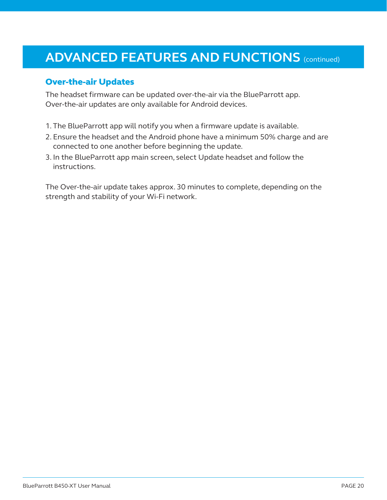### **ADVANCED FEATURES AND FUNCTIONS (continued)**

#### Over-the-air Updates

The headset firmware can be updated over-the-air via the BlueParrott app. Over-the-air updates are only available for Android devices.

- 1. The BlueParrott app will notify you when a firmware update is available.
- 2. Ensure the headset and the Android phone have a minimum 50% charge and are connected to one another before beginning the update.
- 3. In the BlueParrott app main screen, select Update headset and follow the instructions.

The Over-the-air update takes approx. 30 minutes to complete, depending on the strength and stability of your Wi-Fi network.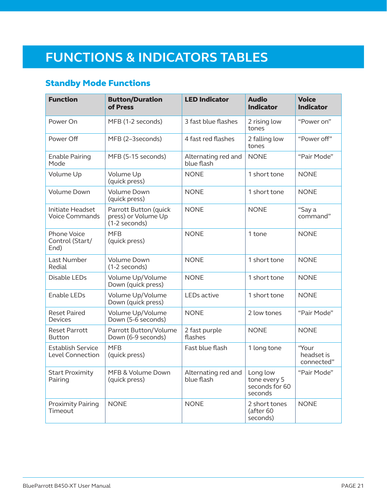# **FUNCTIONS & INDICATORS TABLES**

### Standby Mode Functions

| <b>Function</b>                                  | <b>Button/Duration</b><br>of Press                              | <b>LED Indicator</b>                                                                       | <b>Audio</b><br><b>Indicator</b>       | <b>Voice</b><br><b>Indicator</b>  |
|--------------------------------------------------|-----------------------------------------------------------------|--------------------------------------------------------------------------------------------|----------------------------------------|-----------------------------------|
| Power On                                         | MFB (1-2 seconds)                                               | 3 fast blue flashes<br>2 rising low<br>tones                                               |                                        | "Power on"                        |
| Power Off                                        | MFB (2-3seconds)                                                | 4 fast red flashes                                                                         | 2 falling low<br>tones                 | "Power off"                       |
| <b>Enable Pairing</b><br>Mode                    | MFB (5-15 seconds)                                              | Alternating red and<br>blue flash                                                          | <b>NONE</b>                            | "Pair Mode"                       |
| Volume Up                                        | Volume Up<br>(quick press)                                      | <b>NONE</b>                                                                                | 1 short tone                           | <b>NONE</b>                       |
| <b>Volume Down</b>                               | Volume Down<br>(quick press)                                    | <b>NONE</b>                                                                                | 1 short tone                           | <b>NONE</b>                       |
| <b>Initiate Headset</b><br><b>Voice Commands</b> | Parrott Button (quick<br>press) or Volume Up<br>$(1-2$ seconds) | <b>NONE</b>                                                                                | <b>NONE</b>                            | "Say a<br>command"                |
| <b>Phone Voice</b><br>Control (Start/<br>End)    | <b>MFB</b><br>(quick press)                                     | <b>NONE</b>                                                                                | 1 tone                                 | <b>NONE</b>                       |
| Last Number<br>Redial                            | Volume Down<br>(1-2 seconds)                                    | <b>NONE</b>                                                                                | 1 short tone                           | <b>NONE</b>                       |
| Disable LEDs                                     | Volume Up/Volume<br>Down (quick press)                          | <b>NONE</b>                                                                                | 1 short tone                           | <b>NONE</b>                       |
| <b>Enable LEDs</b>                               | Volume Up/Volume<br>Down (quick press)                          | LEDs active<br>1 short tone                                                                |                                        | <b>NONE</b>                       |
| <b>Reset Paired</b><br><b>Devices</b>            | Volume Up/Volume<br>Down (5-6 seconds)                          | 2 low tones<br><b>NONE</b>                                                                 |                                        | "Pair Mode"                       |
| <b>Reset Parrott</b><br><b>Button</b>            | Parrott Button/Volume<br>Down (6-9 seconds)                     | 2 fast purple<br>flashes                                                                   | <b>NONE</b>                            | <b>NONE</b>                       |
| Establish Service<br>Level Connection            | <b>MFB</b><br>(quick press)                                     | Fast blue flash                                                                            | 1 long tone                            | "Your<br>headset is<br>connected" |
| <b>Start Proximity</b><br>Pairing                | MFB & Volume Down<br>(quick press)                              | Alternating red and<br>Long low<br>blue flash<br>tone every 5<br>seconds for 60<br>seconds |                                        | "Pair Mode"                       |
| <b>Proximity Pairing</b><br>Timeout              | <b>NONE</b>                                                     | <b>NONE</b>                                                                                | 2 short tones<br>(after 60<br>seconds) | <b>NONE</b>                       |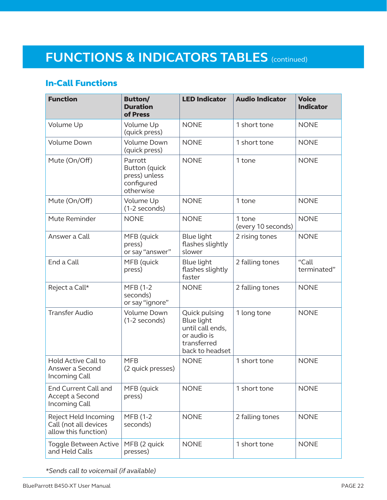# **FUNCTIONS & INDICATORS TABLES** (continued)

### In-Call Functions

| <b>Function</b>                                                       | <b>Button/</b><br><b>Duration</b><br>of Press                               | <b>LED Indicator</b>                                                                                    | <b>Audio Indicator</b>       | <b>Voice</b><br><b>Indicator</b> |
|-----------------------------------------------------------------------|-----------------------------------------------------------------------------|---------------------------------------------------------------------------------------------------------|------------------------------|----------------------------------|
| Volume Up                                                             | Volume Up<br>(quick press)                                                  | <b>NONE</b>                                                                                             | 1 short tone                 | <b>NONE</b>                      |
| <b>Volume Down</b>                                                    | <b>Volume Down</b><br>(quick press)                                         | <b>NONE</b>                                                                                             | 1 short tone                 | <b>NONE</b>                      |
| Mute (On/Off)                                                         | Parrott<br><b>Button</b> (quick<br>press) unless<br>configured<br>otherwise | <b>NONE</b>                                                                                             | 1 tone                       | <b>NONE</b>                      |
| Mute (On/Off)                                                         | Volume Up<br>(1-2 seconds)                                                  | <b>NONE</b>                                                                                             | 1 tone                       | <b>NONE</b>                      |
| Mute Reminder                                                         | <b>NONE</b>                                                                 | <b>NONE</b>                                                                                             | 1 tone<br>(every 10 seconds) | <b>NONE</b>                      |
| Answer a Call                                                         | MFB (quick<br>press)<br>or say "answer"                                     | <b>Blue light</b><br>flashes slightly<br>slower                                                         | 2 rising tones               | <b>NONE</b>                      |
| End a Call                                                            | MFB (quick<br>press)                                                        | <b>Blue light</b><br>flashes slightly<br>faster                                                         | 2 falling tones              | "Call<br>terminated"             |
| Reject a Call*                                                        | MFB (1-2<br>seconds)<br>or say "ignore"                                     | <b>NONE</b>                                                                                             | 2 falling tones              | <b>NONE</b>                      |
| <b>Transfer Audio</b>                                                 | Volume Down<br>(1-2 seconds)                                                | Quick pulsing<br><b>Blue light</b><br>until call ends,<br>or audio is<br>transferred<br>back to headset | 1 long tone                  | <b>NONE</b>                      |
| Hold Active Call to<br>Answer a Second<br>Incoming Call               | <b>MFB</b><br>(2 quick presses)                                             | <b>NONE</b>                                                                                             | 1 short tone                 | <b>NONE</b>                      |
| <b>End Current Call and</b><br>Accept a Second<br>Incoming Call       | MFB (quick<br>press)                                                        | <b>NONE</b>                                                                                             | 1 short tone                 | <b>NONE</b>                      |
| Reject Held Incoming<br>Call (not all devices<br>allow this function) | MFB (1-2<br>seconds)                                                        | <b>NONE</b>                                                                                             | 2 falling tones              | <b>NONE</b>                      |
| Toggle Between Active<br>and Held Calls                               | MFB (2 quick<br>presses)                                                    | <b>NONE</b>                                                                                             | 1 short tone                 | <b>NONE</b>                      |

*\*Sends call to voicemail (if available)*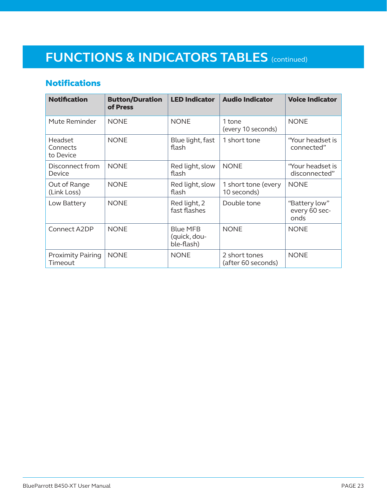# **FUNCTIONS & INDICATORS TABLES** (continued)

### **Notifications**

| <b>Notification</b>                 | <b>Button/Duration</b><br>of Press | <b>LED Indicator</b>                          | <b>Audio Indicator</b>              | <b>Voice Indicator</b>                 |
|-------------------------------------|------------------------------------|-----------------------------------------------|-------------------------------------|----------------------------------------|
| Mute Reminder                       | <b>NONE</b>                        | <b>NONE</b>                                   | 1 tone<br>(every 10 seconds)        | <b>NONE</b>                            |
| Headset<br>Connects<br>to Device    | <b>NONE</b>                        | Blue light, fast<br>flash                     | 1 short tone                        | "Your headset is<br>connected"         |
| Disconnect from<br>Device           | <b>NONE</b>                        | Red light, slow<br>flash                      | <b>NONE</b>                         | "Your headset is<br>disconnected"      |
| Out of Range<br>(Link Loss)         | <b>NONE</b>                        | Red light, slow<br>flash                      | 1 short tone (every<br>10 seconds)  | <b>NONE</b>                            |
| Low Battery                         | <b>NONE</b>                        | Red light, 2<br>fast flashes                  | Double tone                         | "Battery low"<br>every 60 sec-<br>onds |
| Connect A2DP                        | <b>NONE</b>                        | <b>Blue MFB</b><br>(quick, dou-<br>ble-flash) | <b>NONE</b>                         | <b>NONE</b>                            |
| <b>Proximity Pairing</b><br>Timeout | <b>NONE</b>                        | <b>NONE</b>                                   | 2 short tones<br>(after 60 seconds) | <b>NONE</b>                            |